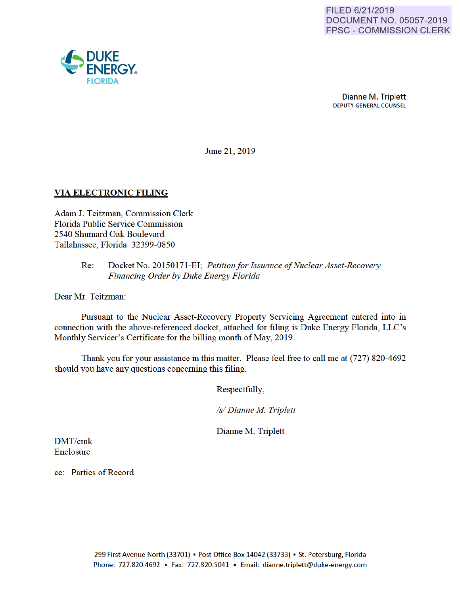

June 21, 2019

## VIA ELECTRONIC FILING

Adam J. Teitzman, Commission Clerk Florida Public Service Commission 2540 Shumard Oak Boulevard Tallahassee, Florida 32399-0850

#### Re: Docket No. 20150171-EI; *Petitionfor Issuance of Nuclear Asset-Recovery Financing Order by Duke Energy Florida*

Dear Mr. Teitzman:

Pursuant to the Nuclear Asset-Recovery Property Servicing Agreement entered into in connection with the above-referenced docket, attached for filing is Duke Energy Florida, LLC's Monthly Servicer's Certificate for the billing month of May, 2019.

Thank you for your assistance in this matter. Please feel free to call me at (727) 820-4692 should you have any questions conceming this filing.

Respectfully,

*Is/ Dianne M Triplett* 

Dianne M. Triplett

DMT/cmk Enclosme

cc: Parties of Record

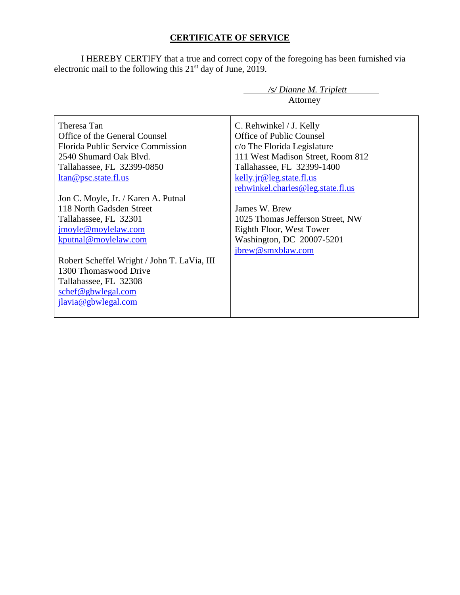# **CERTIFICATE OF SERVICE**

I HEREBY CERTIFY that a true and correct copy of the foregoing has been furnished via electronic mail to the following this  $21<sup>st</sup>$  day of June, 2019.

|                                                     | /s/ Dianne M. Triplett            |
|-----------------------------------------------------|-----------------------------------|
|                                                     | Attorney                          |
|                                                     |                                   |
| Theresa Tan                                         | C. Rehwinkel / J. Kelly           |
| Office of the General Counsel                       | Office of Public Counsel          |
| Florida Public Service Commission                   | c/o The Florida Legislature       |
| 2540 Shumard Oak Blyd.                              | 111 West Madison Street, Room 812 |
| Tallahassee, FL 32399-0850                          | Tallahassee, FL 32399-1400        |
| <u>ltan@psc.state.fl.us</u>                         | kelly.jr@leg.state.fl.us          |
|                                                     | rehwinkel.charles@leg.state.fl.us |
| Jon C. Moyle, Jr. / Karen A. Putnal                 |                                   |
| 118 North Gadsden Street                            | James W. Brew                     |
| Tallahassee, FL 32301                               | 1025 Thomas Jefferson Street, NW  |
| jmoyle@moylelaw.com                                 | Eighth Floor, West Tower          |
| kputnal@moylelaw.com                                | Washington, DC 20007-5201         |
|                                                     | jbrew@smxblaw.com                 |
| Robert Scheffel Wright / John T. LaVia, III         |                                   |
| 1300 Thomaswood Drive                               |                                   |
| Tallahassee, FL 32308                               |                                   |
| $\frac{\text{schef}\omega_{\text{gbwlegal.com}}{2}$ |                                   |
| jlavia@gbwlegal.com                                 |                                   |
|                                                     |                                   |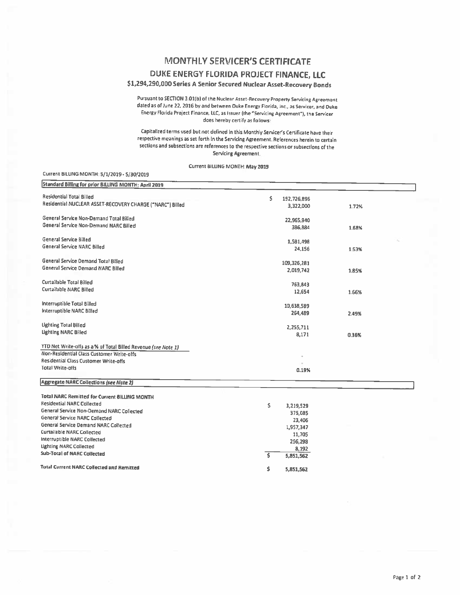#### MONTHLY SERVICER'S CERTIFICATE

### DUKE ENERGY FLORIDA PROJECT FINANCE, LLC

## \$1,294,290,000 Series A Senior Secured Nuclear Asset-Recovery Bonds

Pursuant to SECTION 3.01(b) of the Nuclear Asset-Recovery Property Servicing Agreement dated as of June 22, 2016 by and between Duke Energy Florida, Inc., as Servicer, and Duke Energy Florida Project Finance, LLC, as Issuer (the "Servicing Agreement"), the Servicer does hereby certify as follows:

Capitalized terms used but not defined in this Monthly Servicer's Certificate have their respective meanings as set forth in the Servicing Agreement. References herein to certain sections and subsections are references to the respective sections or subsections of the Servicing Agreement

Current BILLING MONTH: May 2019

#### Current BILLING MONTH: 5/1/2019 - 5/30/2019

| Standard Billing for prior BILLING MONTH: April 2019           |                         |       |  |
|----------------------------------------------------------------|-------------------------|-------|--|
| <b>Residential Total Billed</b>                                | \$<br>192,726,896       |       |  |
| Residential NUCLEAR ASSET-RECOVERY CHARGE ("NARC") Billed      | 3,322,000               | 1.72% |  |
| General Service Non-Demand Total Billed                        | 22,965,940              |       |  |
| General Service Non-Demand NARC Billed                         | 386,884                 | 1.68% |  |
| General Service Billed                                         | 1,581,498               |       |  |
| General Service NARC Billed                                    | 24,156                  | 1.53% |  |
| General Service Demand Total Billed                            | 109,326,281             |       |  |
| General Service Demand NARC Billed                             | 2,019,742               | 1.85% |  |
| Curtailable Total Billed                                       | 763,843                 |       |  |
| Curtailable NARC Billed                                        | 12,654                  | 1.66% |  |
| Interruptible Total Billed                                     | 10,638,589              |       |  |
| Interruptible NARC Billed                                      | 264,489                 | 2.49% |  |
| <b>Lighting Total Billed</b>                                   | 2,255,711               |       |  |
| Lighting NARC Billed                                           | 8,171                   | 0.36% |  |
| YTD Net Write-offs as a % of Total Billed Revenue (see Note 1) |                         |       |  |
| Non-Residential Class Customer Write-offs                      |                         |       |  |
| Residential Class Customer Write-offs                          |                         |       |  |
| <b>Total Write-offs</b>                                        | 0.19%                   |       |  |
| <b>Aggregate NARC Collections (see Note 2)</b>                 |                         |       |  |
| <b>Total NARC Remitted for Current BILLING MONTH</b>           |                         |       |  |
| <b>Residential NARC Collected</b>                              | \$<br>3,219,529         |       |  |
| General Service Non-Demand NARC Collected                      | 375,085                 |       |  |
| General Service NARC Collected                                 | 23,406                  |       |  |
| General Service Demand NARC Collected                          | 1,957,347               |       |  |
| <b>Curtailable NARC Collected</b>                              |                         |       |  |
| Interruptible NARC Collected                                   | 11,705                  |       |  |
| <b>Lighting NARC Collected</b>                                 | 256,298                 |       |  |
| <b>Sub-Total of NARC Collected</b>                             | 8,192<br>ŝ<br>5,851,562 |       |  |
| <b>Total Current NARC Collected and Remitted</b>               | Ś<br>5,851,562          |       |  |
|                                                                |                         |       |  |